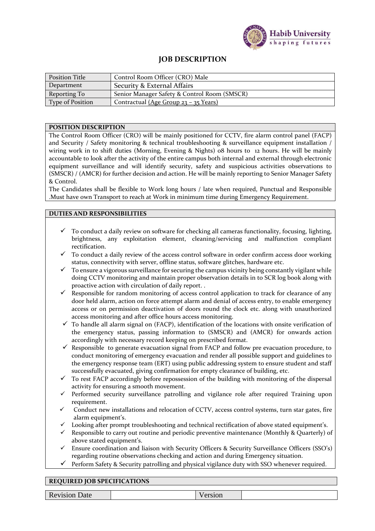

## **JOB DESCRIPTION**

| <b>Position Title</b>   | Control Room Officer (CRO) Male              |
|-------------------------|----------------------------------------------|
| Department              | Security & External Affairs                  |
| Reporting To            | Senior Manager Safety & Control Room (SMSCR) |
| <b>Type of Position</b> | Contractual (Age Group 23 - 35 Years)        |

## **POSITION DESCRIPTION**

The Control Room Officer (CRO) will be mainly positioned for CCTV, fire alarm control panel (FACP) and Security / Safety monitoring & technical troubleshooting & surveillance equipment installation / wiring work in to shift duties (Morning, Evening & Nights) 08 hours to 12 hours. He will be mainly accountable to look after the activity of the entire campus both internal and external through electronic equipment surveillance and will identify security, safety and suspicious activities observations to (SMSCR) / (AMCR) for further decision and action. He will be mainly reporting to Senior Manager Safety & Control.

The Candidates shall be flexible to Work long hours / late when required, Punctual and Responsible .Must have own Transport to reach at Work in minimum time during Emergency Requirement.

## **DUTIES AND RESPONSIBILITIES**

- $\checkmark$  To conduct a daily review on software for checking all cameras functionality, focusing, lighting, brightness, any exploitation element, cleaning/servicing and malfunction compliant rectification.
- $\checkmark$  To conduct a daily review of the access control software in order confirm access door working status, connectivity with server, offline status, software glitches, hardware etc.
- $\checkmark$  To ensure a vigorous surveillance for securing the campus vicinity being constantly vigilant while doing CCTV monitoring and maintain proper observation details in to SCR log book along with proactive action with circulation of daily report. .
- $\checkmark$  Responsible for random monitoring of access control application to track for clearance of any door held alarm, action on force attempt alarm and denial of access entry, to enable emergency access or on permission deactivation of doors round the clock etc. along with unauthorized access monitoring and after office hours access monitoring.
- $\checkmark$  To handle all alarm signal on (FACP), identification of the locations with onsite verification of the emergency status, passing information to (SMSCR) and (AMCR) for onwards action accordingly with necessary record keeping on prescribed format.
- $\checkmark$  Responsible to generate evacuation signal from FACP and follow pre evacuation procedure, to conduct monitoring of emergency evacuation and render all possible support and guidelines to the emergency response team (ERT) using public addressing system to ensure student and staff successfully evacuated, giving confirmation for empty clearance of building, etc.
- $\checkmark$  To rest FACP accordingly before repossession of the building with monitoring of the dispersal activity for ensuring a smooth movement.
- Performed security surveillance patrolling and vigilance role after required Training upon requirement.
- Conduct new installations and relocation of CCTV, access control systems, turn star gates, fire alarm equipment's.
- Looking after prompt troubleshooting and technical rectification of above stated equipment's.
- Responsible to carry out routine and periodic preventive maintenance (Monthly & Quarterly) of above stated equipment's.
- Ensure coordination and liaison with Security Officers & Security Surveillance Officers (SSO's) regarding routine observations checking and action and during Emergency situation.
- $\checkmark$  Perform Safety & Security patrolling and physical vigilance duty with SSO whenever required.

## **REQUIRED JOB SPECIFICATIONS**

Revision Date Version